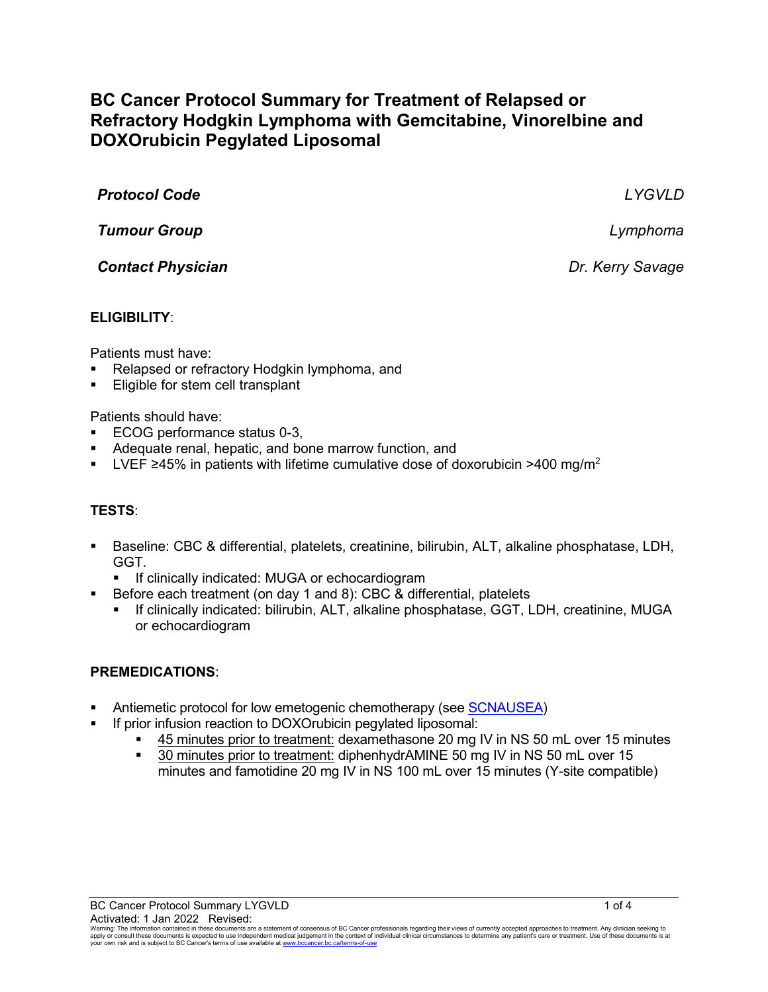# **BC Cancer Protocol Summary for Treatment of Relapsed or Refractory Hodgkin Lymphoma with Gemcitabine, Vinorelbine and DOXOrubicin Pegylated Liposomal**

| <b>Protocol Code</b>     | LYGVLD           |
|--------------------------|------------------|
| <b>Tumour Group</b>      | Lymphoma         |
| <b>Contact Physician</b> | Dr. Kerry Savage |
|                          |                  |

### **ELIGIBILITY**:

Patients must have:

- Relapsed or refractory Hodgkin lymphoma, and
- Eligible for stem cell transplant

Patients should have:

- ECOG performance status 0-3,
- Adequate renal, hepatic, and bone marrow function, and
- LVEF ≥45% in patients with lifetime cumulative dose of doxorubicin >400 mg/m<sup>2</sup>

# **TESTS**:

- Baseline: CBC & differential, platelets, creatinine, bilirubin, ALT, alkaline phosphatase, LDH, GGT.
	- **If clinically indicated: MUGA or echocardiogram**
- Before each treatment (on day 1 and 8): CBC & differential, platelets
	- If clinically indicated: bilirubin, ALT, alkaline phosphatase, GGT, LDH, creatinine, MUGA or echocardiogram

#### **PREMEDICATIONS**:

- Antiemetic protocol for low emetogenic chemotherapy (see [SCNAUSEA\)](http://www.bccancer.bc.ca/chemotherapy-protocols-site/Documents/Supportive%20Care/SCNAUSEA_Protocol.pdf)
- If prior infusion reaction to DOXOrubicin pegylated liposomal:
	- 45 minutes prior to treatment: dexamethasone 20 mg IV in NS 50 mL over 15 minutes
	- **30 minutes prior to treatment: diphenhydrAMINE 50 mg IV in NS 50 mL over 15** minutes and famotidine 20 mg IV in NS 100 mL over 15 minutes (Y-site compatible)

Warning: The information contained in these documents are a statement of consensus of BC Cancer professionals regarding their views of currently accepted approaches to treatment. Any clinician seeking to<br>apply or consult t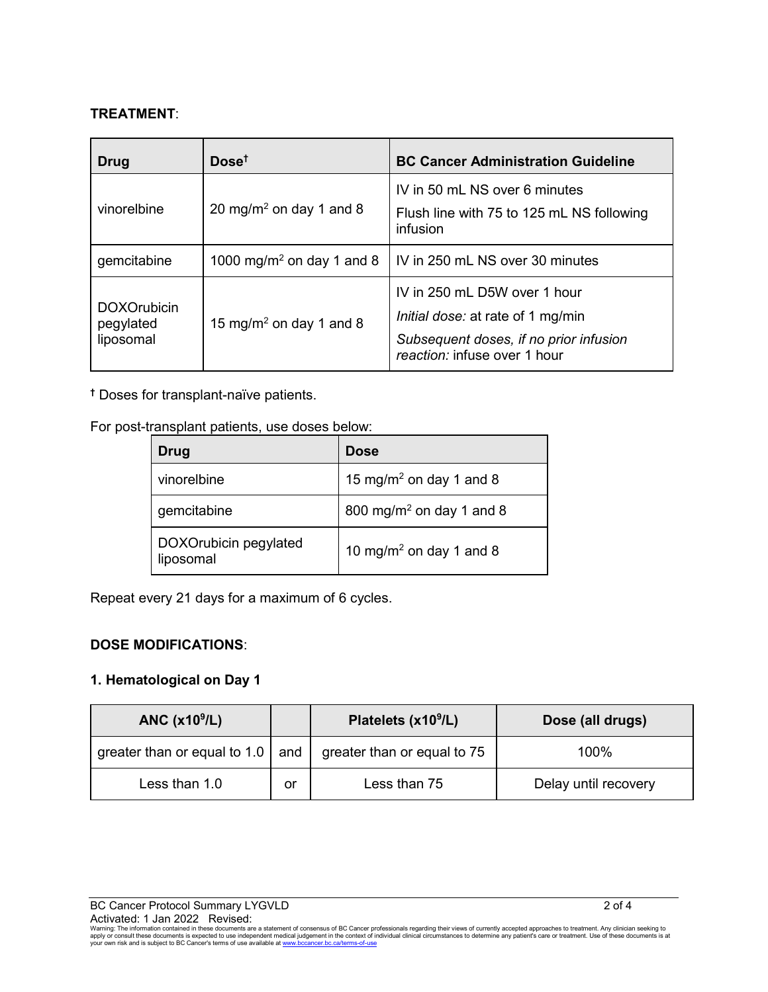# **TREATMENT**:

| Drug                                         | Dose <sup>†</sup>                     | <b>BC Cancer Administration Guideline</b>                                                                                                   |
|----------------------------------------------|---------------------------------------|---------------------------------------------------------------------------------------------------------------------------------------------|
| vinorelbine                                  | 20 mg/m <sup>2</sup> on day 1 and 8   | IV in 50 mL NS over 6 minutes<br>Flush line with 75 to 125 mL NS following<br>infusion                                                      |
| gemcitabine                                  | 1000 mg/m <sup>2</sup> on day 1 and 8 | IV in 250 mL NS over 30 minutes                                                                                                             |
| <b>DOXOrubicin</b><br>pegylated<br>liposomal | 15 mg/m <sup>2</sup> on day 1 and 8   | IV in 250 mL D5W over 1 hour<br>Initial dose: at rate of 1 mg/min<br>Subsequent doses, if no prior infusion<br>reaction: infuse over 1 hour |

**†** Doses for transplant-naïve patients.

For post-transplant patients, use doses below:

| Drug                               | <b>Dose</b>                          |
|------------------------------------|--------------------------------------|
| vinorelbine                        | 15 mg/m <sup>2</sup> on day 1 and 8  |
| gemcitabine                        | 800 mg/m <sup>2</sup> on day 1 and 8 |
| DOXOrubicin pegylated<br>liposomal | 10 mg/m <sup>2</sup> on day 1 and 8  |

Repeat every 21 days for a maximum of 6 cycles.

# **DOSE MODIFICATIONS**:

# **1. Hematological on Day 1**

| ANC $(x109/L)$                           |    | Platelets (x10 <sup>9</sup> /L) | Dose (all drugs)     |
|------------------------------------------|----|---------------------------------|----------------------|
| greater than or equal to 1.0 $\vert$ and |    | greater than or equal to 75     | 100%                 |
| Less than 1.0                            | or | Less than 75                    | Delay until recovery |

Warning: The information contained in these documents are a statement of consensus of BC Cancer professionals regarding their views of currently accepted approaches to treatment. Any clinician seeking to<br>apply or consult t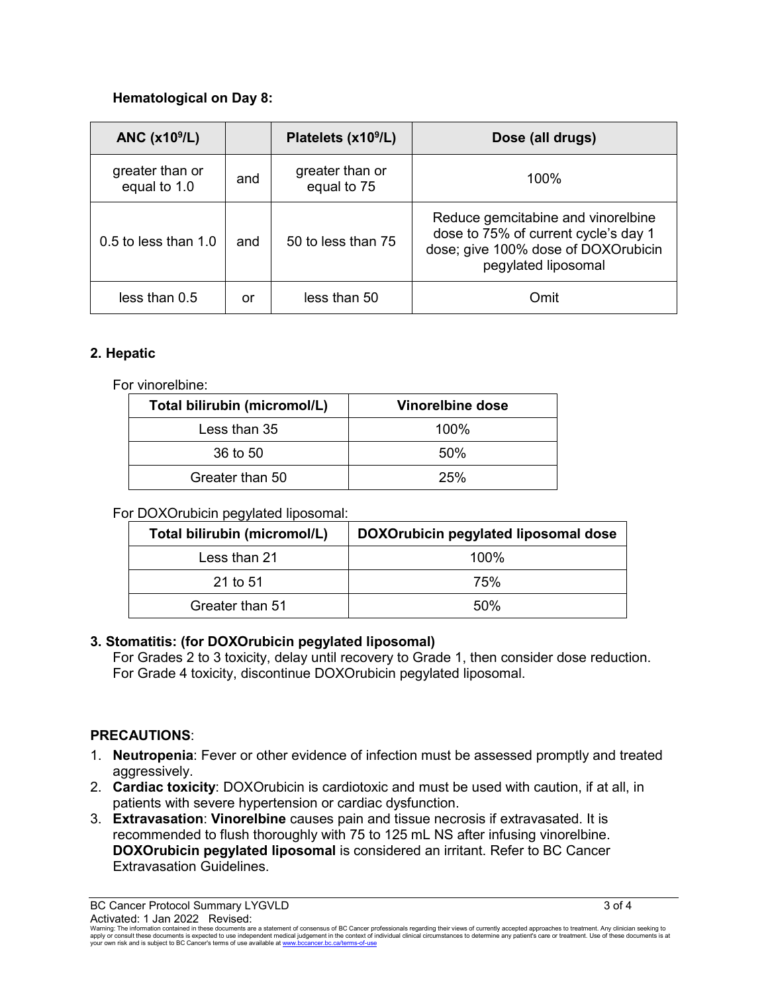# **Hematological on Day 8:**

| ANC $(x109/L)$                  |     | Platelets (x10 <sup>9</sup> /L) | Dose (all drugs)                                                                                                                         |
|---------------------------------|-----|---------------------------------|------------------------------------------------------------------------------------------------------------------------------------------|
| greater than or<br>equal to 1.0 | and | greater than or<br>equal to 75  | 100%                                                                                                                                     |
| 0.5 to less than 1.0            | and | 50 to less than 75              | Reduce gemcitabine and vinorelbine<br>dose to 75% of current cycle's day 1<br>dose; give 100% dose of DOXOrubicin<br>pegylated liposomal |
| less than 0.5                   | or  | less than 50                    | Omit                                                                                                                                     |

### **2. Hepatic**

For vinorelbine:

| Total bilirubin (micromol/L) | Vinorelbine dose |
|------------------------------|------------------|
| Less than 35                 | $100\%$          |
| 36 to 50                     | 50%              |
| Greater than 50              | 25%              |

| Total bilirubin (micromol/L) | DOXOrubicin pegylated liposomal dose |
|------------------------------|--------------------------------------|
| Less than 21                 | 100%                                 |
| 21 to 51                     | 75%                                  |
| Greater than 51              | .50%                                 |

### For DOXOrubicin pegylated liposomal:

#### **3. Stomatitis: (for DOXOrubicin pegylated liposomal)**

For Grades 2 to 3 toxicity, delay until recovery to Grade 1, then consider dose reduction. For Grade 4 toxicity, discontinue DOXOrubicin pegylated liposomal.

#### **PRECAUTIONS**:

- 1. **Neutropenia**: Fever or other evidence of infection must be assessed promptly and treated aggressively.
- 2. **Cardiac toxicity**: DOXOrubicin is cardiotoxic and must be used with caution, if at all, in patients with severe hypertension or cardiac dysfunction.
- 3. **Extravasation**: **Vinorelbine** causes pain and tissue necrosis if extravasated. It is recommended to flush thoroughly with 75 to 125 mL NS after infusing vinorelbine. **DOXOrubicin pegylated liposomal** is considered an irritant. Refer to BC Cancer Extravasation Guidelines.

Warning: The information contained in these documents are a statement of consensus of BC Cancer professionals regarding their views of currently accepted approaches to treatment. Any clinician seeking to<br>apply or consult t